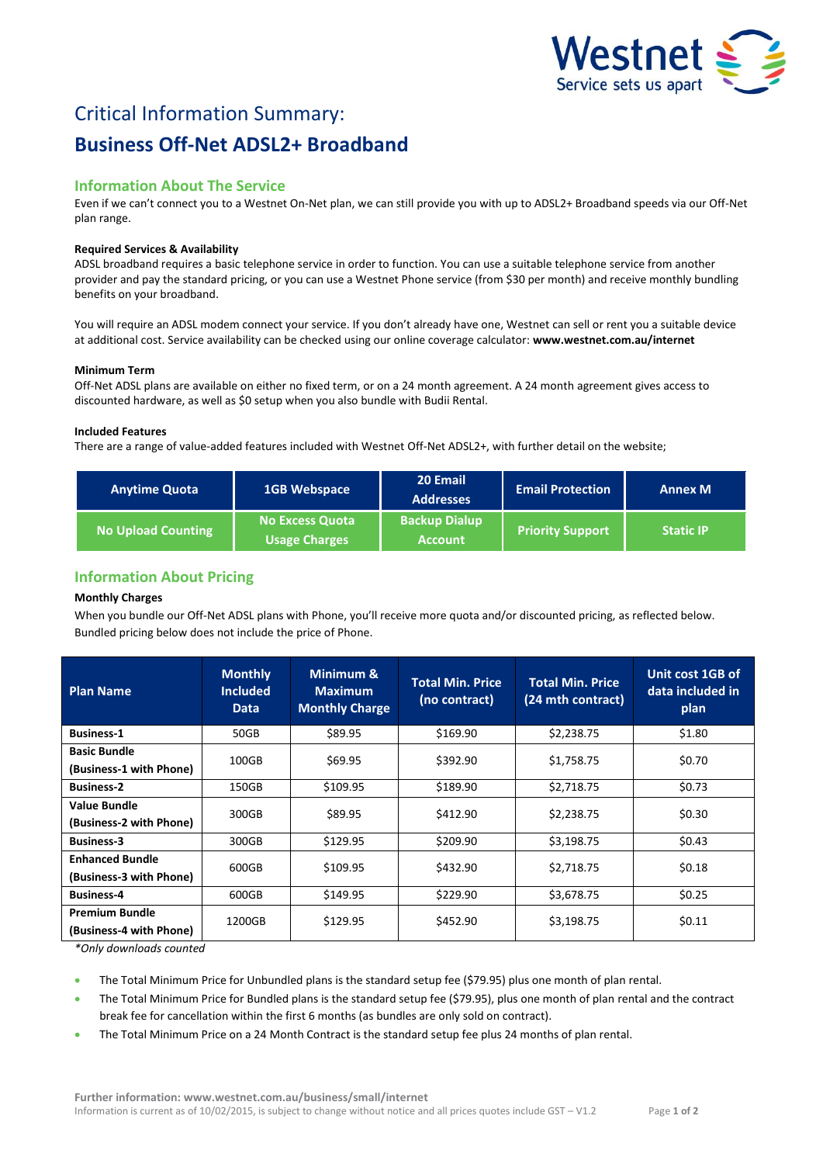

# Critical Information Summary: **Business Off-Net ADSL2+ Broadband**

# **Information About The Service**

Even if we can't connect you to a Westnet On-Net plan, we can still provide you with up to ADSL2+ Broadband speeds via our Off-Net plan range.

# **Required Services & Availability**

ADSL broadband requires a basic telephone service in order to function. You can use a suitable telephone service from another provider and pay the standard pricing, or you can use a Westnet Phone service (from \$30 per month) and receive monthly bundling benefits on your broadband.

You will require an ADSL modem connect your service. If you don't already have one, Westnet can sell or rent you a suitable device at additional cost. Service availability can be checked using our online coverage calculator: **www.westnet.com.au/internet**

## **Minimum Term**

Off-Net ADSL plans are available on either no fixed term, or on a 24 month agreement. A 24 month agreement gives access to discounted hardware, as well as \$0 setup when you also bundle with Budii Rental.

# **Included Features**

There are a range of value-added features included with Westnet Off-Net ADSL2+, with further detail on the website;

| <b>Anytime Quota</b>      | 1GB Webspace                                   | 20 Email<br><b>Addresses</b>           | <b>Email Protection</b> | <b>Annex M</b>   |
|---------------------------|------------------------------------------------|----------------------------------------|-------------------------|------------------|
| <b>No Upload Counting</b> | <b>No Excess Quota</b><br><b>Usage Charges</b> | <b>Backup Dialup</b><br><b>Account</b> | <b>Priority Support</b> | <b>Static IP</b> |

# **Information About Pricing**

# **Monthly Charges**

When you bundle our Off-Net ADSL plans with Phone, you'll receive more quota and/or discounted pricing, as reflected below. Bundled pricing below does not include the price of Phone.

| <b>Plan Name</b>                                  | <b>Monthly</b><br><b>Included</b><br><b>Data</b> | Minimum &<br><b>Maximum</b><br><b>Monthly Charge</b> | <b>Total Min. Price</b><br>(no contract) | <b>Total Min. Price</b><br>(24 mth contract) | Unit cost 1GB of<br>data included in<br>plan |
|---------------------------------------------------|--------------------------------------------------|------------------------------------------------------|------------------------------------------|----------------------------------------------|----------------------------------------------|
| <b>Business-1</b>                                 | 50GB                                             | \$89.95                                              | \$169.90                                 | \$2,238.75                                   | \$1.80                                       |
| <b>Basic Bundle</b><br>(Business-1 with Phone)    | 100GB                                            | \$69.95                                              | \$392.90                                 | \$1,758.75                                   | \$0.70                                       |
| <b>Business-2</b>                                 | 150GB                                            | \$109.95                                             | \$189.90                                 | \$2,718.75                                   | \$0.73                                       |
| <b>Value Bundle</b><br>(Business-2 with Phone)    | 300GB                                            | \$89.95                                              | \$412.90                                 | \$2,238.75                                   | \$0.30                                       |
| <b>Business-3</b>                                 | 300GB                                            | \$129.95                                             | \$209.90                                 | \$3,198.75                                   | \$0.43                                       |
| <b>Enhanced Bundle</b><br>(Business-3 with Phone) | 600GB                                            | \$109.95                                             | \$432.90                                 | \$2,718.75                                   | \$0.18                                       |
| <b>Business-4</b>                                 | 600GB                                            | \$149.95                                             | \$229.90                                 | \$3,678.75                                   | \$0.25                                       |
| <b>Premium Bundle</b><br>(Business-4 with Phone)  | 1200GB                                           | \$129.95                                             | \$452.90                                 | \$3,198.75                                   | \$0.11                                       |

*\*Only downloads counted*

- The Total Minimum Price for Unbundled plans is the standard setup fee (\$79.95) plus one month of plan rental.
- The Total Minimum Price for Bundled plans is the standard setup fee (\$79.95), plus one month of plan rental and the contract break fee for cancellation within the first 6 months (as bundles are only sold on contract).
- The Total Minimum Price on a 24 Month Contract is the standard setup fee plus 24 months of plan rental.